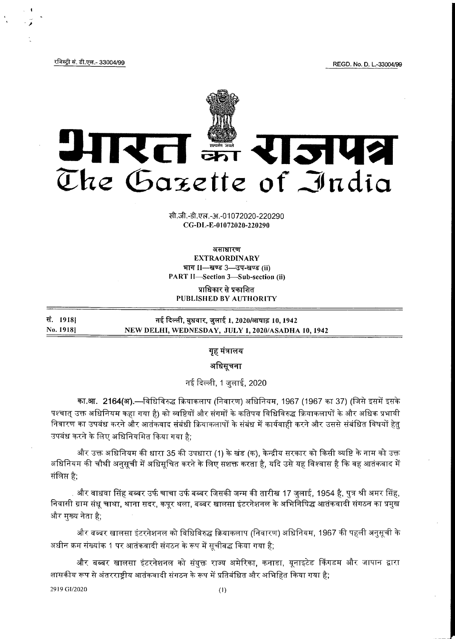REGD. No. D. L.-33004/99

रजिस्ट्री सं. डी.एल.- 33004/99



सी.जी.-डी.एल.-अ.-01072020-220290 CG-DL-E-01072020-220290

असाधारण **EXTRAORDINARY** भाग II-स्वण्ड 3-उप-खण्ड (ii) PART II-Section 3-Sub-section (ii)

प्राधिकार से प्रकाशित PUBLISHED BY AUTHORITY

सं. 1918] नई दिल्ली, बुधवार, जुलाई 1, 2020/आषाढ़ 10, 1942 No. 1918] NEW DELHI, WEDNESDAY, JULY 1, 2020/ASADHA 10, 1942

गृह मंत्रालय

अधिसूचना

नई दिल्ली, 1 जुलाई, 2020

का.आ. 2164(अ).—विधिविरुद्ध क्रियाकलाप (निवारण) अधिनियम, 1967 (1967 का 37) (जिसे इसमें इसके पश्चात उक्त अधिनियम कहा गया है) को व्यष्टियों और संगमों के कतिपय विधिविरुद्ध क्रियाकलापों के और अधिक प्रभावी निवारण का उपबंध करने और आतंकवाद संबंधी क्रियाकलापों के संबंध में कार्यवाही करने और उससे संबंधित विषयों हेतु उपबंध करने के लिए अधिनियमित किया गया है;

और उक्त अधिनियम की धारा 35 की उपधारा (1) के खंड (क), केन्द्रीय सरकार को किसी व्यष्टि के नाम को उक्त अधिनियम की चौथी अनुसूची में अधिसूचित करने के लिए सशक्त करता है, यदि उसे यह विश्वास है कि वह आतंकवाद में संलिप्त है:

. और वाधवा सिंह बब्बर उर्फ चाचा उर्फ बब्बर जिसकी जन्म की तारीख 17 जुलाई, 1954 है, पुत्र श्री अमर सिंह, निवासी ग्राम संधू चाथा, थाना सदर, कपूर थला, बब्बर खालसा इंटरनेशनल के अभिनिषिद्ध आतंकवादी संगठन का प्रमुख और मुख्य नेता है;

और बब्बर खालसा इंटरनेशनल को विधिविरुद्ध क्रियाकलाप (निवारण) अधिनियम, 1967 की पहली अनुसूची के अधीन क्रम संख्यांक 1 पर आतंकवादी संगठन के रूप में सूचीबद्ध किया गया है;

और बब्बर खालसा इंटरनेशनल को संयुक्त राज्य अमेरिका, कनाडा, यूनाइटेड किंगडम और जापान द्वारा शासकीय रूप से अंतरराष्ट्रीय आतंकवादी संगठन के रूप में प्रतिबंधित और अभिहित किया गया है;

2919 GI/2020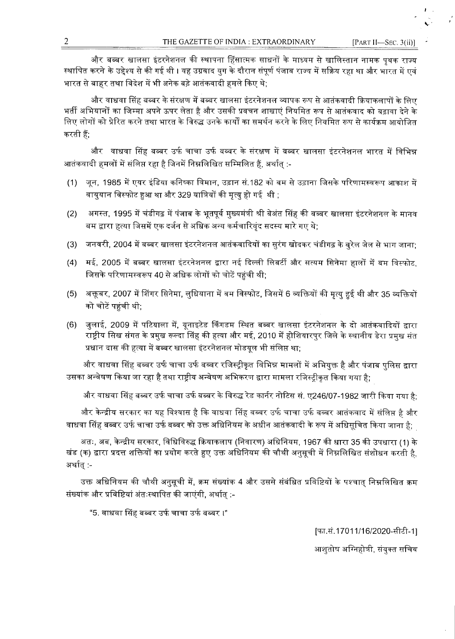और बब्बर खालसा इंटरनेशनल की स्थापना हिंसात्मक साधनों के माध्यम से खालिस्तान नामक पृथक राज्य स्थापित करने के उद्देश्य से की गई थी । यह उग्रवाद युग के दौरान संपूर्ण पंजाब राज्य में सक्रिय रहा था और भारत में एवं भारत से बाहर तथा विदेश में भी अनेक बड़े आतंकवादी हमले किए थे:

और वाधवा सिंह बब्बर के संरक्षण में बब्बर खालसा इंटरनेशनल व्यापक रूप से आतंकवादी क्रियाकलापों के लिए भर्ती अभियानों का जिम्मा अपने ऊपर लेता है और उसकी प्रवचन शाखाएं नियमित रूप से आतंकवाद को बढ़ावा देने के लिए लोगों को प्रेरित करने तथा भारत के विरुद्ध उनके कार्यों का समर्थन करने के लिए नियमित रूप से कार्यक्रम आयोजित करती हैं:

और वाधवा सिंह बब्बर उर्फ चाचा उर्फ वब्बर के संरक्षण में वब्वर खालसा इंटरनेशनल भारत में विभिन्न आतंकवादी हमलों में संलिप्त रहा है जिनमें निम्नलिखित सम्मिलित हैं, अर्थात् :-

- (1) जून, 1985 में एयर इंडिया कनिष्का विमान, उड़ान सं.182 को बम से उड़ाना जिसके परिणामस्वरूप आकाश में वायुयान विस्फोट हुआ था और 329 यात्रियों की मृत्यु हो गई थी ;
- अगस्त, 1995 में चंडीगढ़ में पंजाब के भूतपूर्व मुख्यमंत्री श्री बेअंत सिंह की बब्बर खालसा इंटरनेशनल के मानव  $(2)$ बम द्वारा हत्या जिसमें एक दर्जन से अधिक अन्य कर्मचारिवंद सदस्य मारे गए थे:
- (3) जनवरी, 2004 में बब्बर खालसा इंटरनेशनल आतंकवादियों का सुरंग खोदकर चंडीगढ़ के बरेल जेल से भाग जाना:
- मई, 2005 में बब्बर खालसा इंटरनेशनल द्वारा नई दिल्ली लिबर्टी और सत्यम सिनेमा हालों में बम विस्फोट,  $(4)$ जिसके परिणामस्वरूप 40 से अधिक लोगों को चोटें पहुंची थी;
- (5) अक्तूबर, 2007 में शिंगर सिनेमा, लुधियाना में बम विस्फोट, जिसमें 6 व्यक्तियों की मृत्यु हुई थी और 35 व्यक्तियों को चोटें पहुंची थी;
- जुलाई, 2009 में पटियाला में, यूनाइटेड किंगडम स्थित बब्बर खालसा इंटरनेशनल के दो आतंकवादियों द्वारा  $(6)$ राष्ट्रीय सिख संगत के प्रमुख रूल्दा सिंह की हत्या और मई, 2010 में होशियारपुर जिले के स्थानीय डेरा प्रमुख संत प्रधान दास की हत्या में बब्बर खालसा इंटरनेशनल मोडयूल भी संलिप्त था;

और वाधवा सिंह बब्बर उर्फ चाचा उर्फ बब्बर रजिस्ट्रीकृत विभिन्न मामलों में अभियुक्त है और पंजाब पुलिस द्वारा उसका अन्वेषण किया जा रहा है तथा राष्ट्रीय अन्वेषण अभिकरण द्वारा मामला रजिस्ट्रीकृत किया गया है:

,और वाधवा सिंह बब्बर उर्फ चाचा उर्फ बब्बर के विरुद्ध रेड कार्नर नोटिस सं. ए246/07-1982 जारी किया गया है

और केन्द्रीय सरकार का यह विश्वास है कि वाधवा सिंह बब्बर उर्फ चाचा उर्फ बब्बर आतंकवाद में संलिप्त है और वाधवा सिंह बब्बर उर्फ चाचा उर्फ बब्बर को उक्त अधिनियम के अधीन आतंकवादी के रूप में अधिसूचित किया जाना है;

अतः, अब, केन्द्रीय सरकार, विधिविरुद्ध क्रियाकलाप (निवारण) अधिनियम, 1967 की धारा 35 की उपधारा (1) के खंड (क) द्वारा प्रदत्त शक्तियों का प्रयोग करते हुए उक्त अधिनियम की चौथी अनुसूची में निम्नलिखित संशोधन करती है, अर्थात् :-

उक्त अधिनियम की चौथी अनुसूची में, क्रम संख्यांक 4 और उससे संबंधित प्रविष्टियों के पश्चात् निम्नलिखित क्रम संख्यांक और प्रविष्टियां अंतःस्थापित की जाएंगी, अर्थात् :-

"5. वाधवा सिंह बब्बर उर्फ चाचा उर्फ बब्बर ।"

[फा.सं.17011/16/2020-सीटी-1]

आशुतोष अग्निहोत्री, संयुक्त सचिव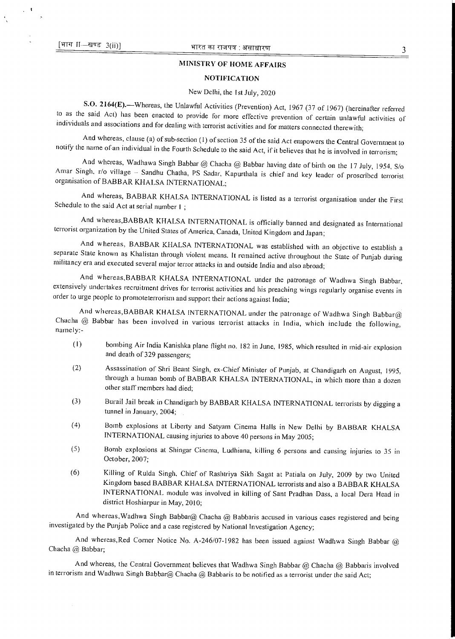$\sqrt{1}$ 

## MINISTRY OF HOME AFFAIRS

#### **NOTIFICATION**

#### New Delhi, the 1st July, 2020

S.O. 2164(E).—Whereas, the Unlawful Activities (Prevention) Act, 1967 (37 of 1967) (hereinafter referred to as the said Act) has been enacted to provide for more effective prevention of certain unlawful activities of individuals and associations and for dealing with terrorist activities and for matters connected therewith;

And whereas, clause (a) of sub-section (1) of section 35 of the said Act empowers the Central Government to notify the name of an individual in the Fourth Schedule to the said Act, if it believes that he is involved in terrorism;

And whereas, Wadhawa Singh Babbar @ Chacha @ Babbar having date of birth on the 17 July, 1954, S/o Amar Singh. r/o village — Sandhu Chatha, PS Sadar, Kapurthala is chief and key leader of proscribed terrorist organisation of BABBAR KHALSA INTERNATIONAL;

And whereas, BABBAR KHALSA INTERNATIONAL is listed as a terrorist organisation under the First Schedule to the said Act at serial number 1;

And whereas,BABBAR KHALSA INTERNATIONAL is officially banned and designated as International terrorist organization by the United States of America, Canada, United Kingdom and Japan;

And whereas, BABBAR KHALSA INTERNATIONAL was established with an objective to establish a separate State known as Khalistan through violent means. It remained active throughout the State of Punjab during militancy era and executed several major terror attacks in and outside India and also abroad;

And whereas,BABBAR KHALSA INTERNATIONAL under the patronage of Wadhwa Singh Babbar, extensively undertakes recruitment drives for terrorist activities and his preaching wings regularly organise events in order to urge people to promoteterrorism and support their actions against India;

And whereas, BABBAR KHALSA INTERNATIONAL under the patronage of Wadhwa Singh Babbar@ Chacha @ Babbar has been involved in various terrorist attacks in India, which include the following, namely:-

- (I) bombing Air India Kanishka plane flight no. 182 in June, 1985, which resulted in mid-air explosion and death of 329 passengers;
- (2) Assassination of Shri Beant Singh, ex-Chief Minister of Punjab, at Chandigarh on August, 1995, through a human bomb of BABBAR KHALSA INTERNATIONAL, in which more than a dozen other staff members had died;
- (3) Burail Jail break in Chandigarh by BABBAR KHALSA INTERNATIONAL terrorists by digging a tunnel in January, 2004;
- (4) Bomb explosions at Liberty and Satyam Cinema Halls in New Delhi by BABBAR KHALSA INTERNATIONAL causing injuries to above 40 persons in May 2005;
- (5) Bomb explosions at Shingar Cinema, Ludhiana, killing 6 persons and causing injuries to 35 in October, 2007;
- (6) Killing of Rulda Singh, Chief of Rashtriya Sikh Sagat at Patiala on July, 2009 by two United Kingdom based BABBAR KHALSA INTERNATIONAL terrorists and also a BABBAR KHALSA INTERNATIONAL module was involved in killing of Sant Pradhan Dass, a local Dera Head in district Hoshiarpur in May, 2010;

And whereas, Wadhwa Singh Babbar@ Chacha @ Babbaris accused in various cases registered and being investigated by the Punjab Police and a case registered by National Investigation Agency;

And whereas, Red Corner Notice No. A-246/07-1982 has been issued against Wadhwa Singh Babbar @ Chacha @ Babbar;

And whereas, the Central Government believes that Wadhwa Singh Babbar @ Chacha @ Babbaris involved in terrorism and Wadhwa Singh Babbar@ Chacha *@* Babbaris to be notified as a terrorist under the said Act;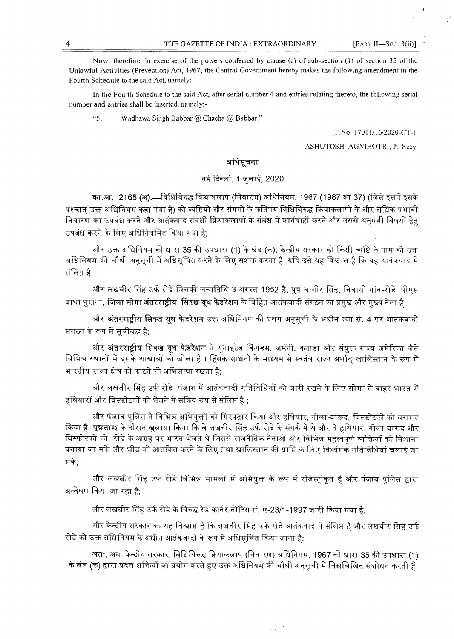Now, therefore, in exercise of the powers conferred by clause (a) of sub-section (1) of section 35 of the Unlawful Activities (Prevention) Act, 1967, the Central Government hereby makes the following amendment in the Fourth Schedule to the said Act, namely:-

In the Fourth Schedule to the said Act, after serial number 4 and entries relating thereto, the following serial number and entries shall be inserted, namely:-

 $45$ Wadhawa Singh Babbar @ Chacha @ Babbar."

[F.No. 17011/16/2020-CT-I]

ASHUTOSH AGNIHOTRI, Jt. Secy.

## अधिसूचना

# नई दिल्ली, 1 जुलाई, 2020

का.आ. 2165 (अ).—विधिविरुद्ध क्रियाकलाप (निवारण) अधिनियम, 1967 (1967 का 37) (जिसे इसमें इसके पश्चात् उक्त अधिनियम कहा गया है) को व्यष्टियों और संगमों के कतिपय विधिविरुद्ध क्रियाकलापों के और अधिक प्रभावी निवारण का उपबंध करने और आतंकवाद संबंधी क्रियाकलापों के संबंध में कार्यवाही करने और उससे अनुषंगी विषयों हेतु उपबंध करने के लिए अधिनियमित किया गया है;

और उक्त अधिनियम की धारा 35 की उपधारा (1) के खंड (क), केन्द्रीय सरकार को किसी व्यष्टि के नाम को उक्त अधिनियम की चौथी अनुसूची में अधिसूचित करने के लिए सशक्त करता है, यदि उसे यह विश्वास है कि वह आतंकवाद में संलिप्त है:

और लखबीर सिंह उर्फ रोडे जिसकी जन्मतिथि 3 अगस्त 1952 है, पुत्र जागीर सिंह, निवासी गांव-रोडे, पीएस बाधा पुराना, जिला मोगा **अंतरराष्ट्रीय सिक्ख यूथ फेडरेशन** के विहित आतंकवादी संगठन का प्रमुख और मुख्य नेता है;

और **अंतरराष्ट्रीय सिक्ख यूथ फेडरेशन** उक्त अधिनियम की प्रथम अनुसूची के अधीन क्रम सं. 4 पर आतंकवादी संगठन के रूप में सूचीबद्ध है;

और **अंतरराष्ट्रीय सिक्ख यूथ फेडरेशन** ने यूनाइटेड किंगडम, जर्मनी, कनाडा और संयुक्त राज्य अमेरिका जैसे विभिन्न स्थानों में इसके शाखाओं को खोला है । हिंसक साधनों के माध्यम से स्वतंत्र राज्य अर्थात खालिस्तान के रूप में भारतीय राज्य क्षेत्र को काटने की अभिलाषा रखता है;

और लखबीर सिंह उर्फ रोडे पंजाब में आतंकवादी गतिविधियों को जारी रखने के लिए सीमा से बाहर भारत में हथियारों और विस्फोटकों को भेजने में सक्रिय रूप से संलिप्त है ;

और पंजाब पुलिस ने विभिन्न अभियुक्तों को गिरफ्तार किया और हथियार, गोला-बारूद, विस्फोटकों को बरामद किया है, पूछताछ के दौरान खुलासा किया कि वे लखबीर सिंह उर्फ रोडे के संपर्क में थे और वे हथियार, गोला-बारूद और विस्फोटकों को, रोडे के आग्रह पर भारत भेजते थे जिससे राजनैतिक नेताओं और विभिन्न महत्वपूर्ण व्यक्तियों को निशाना बनाया जा सके और भीड़ को आंतकित करने के लिए तथा खालिस्तान की प्राप्ति के लिए विध्वंसक गतिविधियां चलाई जा सकें;

और लखबीर सिंह उर्फ रोडे विभिन्न मामलों में अभियुक्त के रूप में रजिस्ट्रीकृत है और पंजाब पुलिस द्वारा अन्वेषण किया जा रहा है;

और लखबीर सिंह उर्फ रोडे के विरुद्ध रेड कार्नर नोटिस सं. ए-23/1-1997 जारी किया गया है:

और केन्द्रीय सरकार का यह विश्वास है कि लखबीर सिंह उर्फ रोडे आतंकवाद में संलिप्त है और लखबीर सिंह उर्फ रोडे को उक्त अधिनियम के अधीन आतंकवादी के रूप में अधिसुचित किया जाना है:

अतः, अब, केन्द्रीय सरकार, विधिविरुद्ध क्रियाकलाप (निवारण) अधिनियम, 1967 की धारा 35 की उपधारा (1) के खंड (क) द्वारा प्रदत्त शक्तियों का प्रयोग करते हुए उक्त अधिनियम की चौथी अनुसूची में निम्नलिखित संशोधन करती हैं

 $\mathcal{F}=\mathcal{F}^{\mathcal{M}}_{\mathcal{F}}$  ,  $\mathcal{F}^{\mathcal{M}}_{\mathcal{F}}$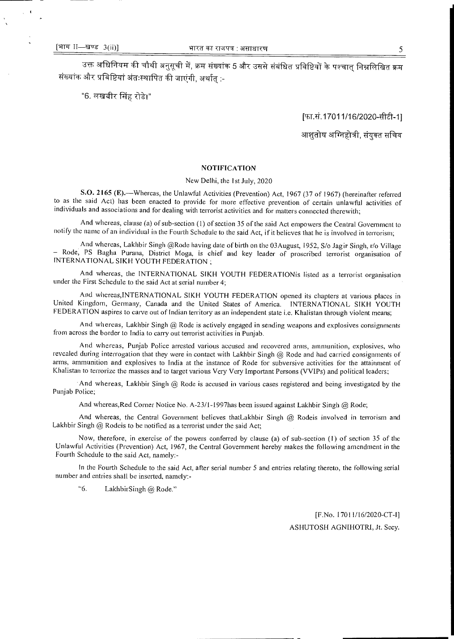उक्त अधिनियम की चौथी अनुसूची में, क्रम संख्यांक 5 और उससे संबंधित प्रविष्टियों के पश्चात् निम्नलिखित क्रम संख्यांक और प्रविष्टियां अंतःस्थापित की जाएंगी, अर्थात् :-

"6. लखबीर सिंह रोडे।"

[फा.सं.17011/16/2020-सीटी-1]

आशुतोष अग्निहोत्री, संयुक्त सचिव

## **NOTIFICATION**

#### New Delhi, the 1st July, 2020

S.O. 2165 (E).—Whereas, the Unlawful Activities (Prevention) Act, 1967 (37 of 1967) (hereinafter referred to as the said Act) has been enacted to provide for more effective prevention of certain unlawful activities of individuals and associations and for dealing with terrorist activities and for matters connected therewith;

And whereas, clause (a) of sub-section (1) of section 35 of the said Act empowers the Central Government to notify the name of an individual in the Fourth Schedule to the said Act, if it believes that he is involved in terrorism;

And whereas, Lakhbir Singh @Rode having date of birth on the 03August, 1952, S/o Jagir Singh, r/o Village — Rode, PS Bagha Purana, District Moga, is chief and key leader of proscribed terrorist organisation of INTERNATIONAL SIKH YOUTH FEDERATION ;

And whereas, the INTERNATIONAL SIKH YOUTH FEDERATIONis listed as a terrorist organisation under the First Schedule to the said Act at serial number 4;

And whereas,INTERNATIONAL SIKH YOUTH FEDERATION opened its chapters at various places in United Kingdom, Germany, Canada and the United States of America. INTERNATIONAL SIKH YOUTH FEDERATION aspires to carve out of Indian territory as an independent state i.e. Khalistan through violent means;

And whereas, Lakhbir Singh @ Rode is actively engaged in sending weapons and explosives consignments from across the border to India to carry out terrorist activities in Punjab.

And whereas, Punjab Police arrested various accused and recovered arms, ammunition, explosives, who revealed during interrogation that they were in contact with Lakhbir Singh @ Rode and had carried consignments of arms, ammunition and explosives to India at the instance of Rode for subversive activities for the attainment of Khalistan to terrorize the masses and to target various Very Very Important Persons (VVIPs) and political leaders;

And whereas, Lakhbir Singh  $\omega$  Rode is accused in various cases registered and being investigated by the Punjab Police;

And whereas, Red Corner Notice No. A-23/1-1997has been issued against Lakhbir Singh @ Rode;

And whereas, the Central Government believes thatLakhbir Singh @ Rodeis involved in terrorism and Lakhbir Singh @ Rodeis to be notified as a terrorist under the said Act;

Now, therefore, in exercise of the powers conferred by clause (a) of sub-section (1) of section 35 of the Unlawful Activities (Prevention) Act, 1967, the Central Government hereby makes the following amendment in the Fourth Schedule to the said Act, namely:-

In the Fourth Schedule to the said Act, after serial number 5 and entries relating thereto, the following serial number and entries shall be inserted, namely:-

"6. LakhbirSingh @ Rode."

[F.No. 17011/16/2020-CT-1] ASHUTOSH AGNIHOTRI, Jt. Secy.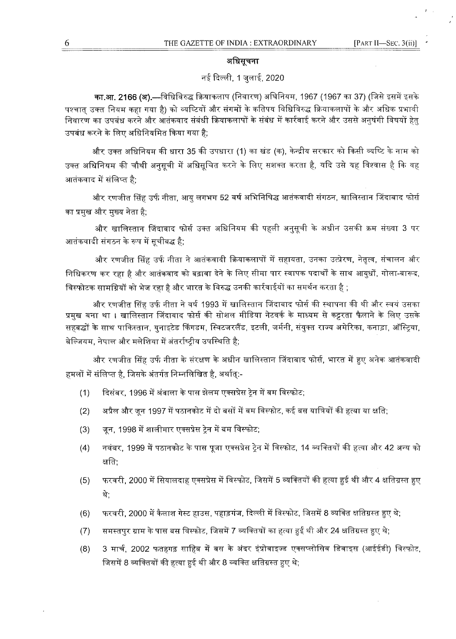## अधिसूचना

# नई दिल्ली, 1 जुलाई, 2020

का.आ. 2166 (अ).—विधिविरुद्ध क्रियाकलाप (निवारण) अघिनियम, 1967 (1967 का 37) (जिसे इसमें इसके पश्चात उक्त नियम कहा गया है) को व्यष्टियों और संगमों के कतिपय विधिविरुद्ध क्रियाकलापों के और अधिक प्रभावी निवारण का उपबंध करने और आतंकवाद संबंधी क्रियाकलापों के संबंध में कार्रवाई करने और उससे अनुषंगी विषयों हेतु उपबंध करने के लिए अधिनियमित किया गया है;

और उक्त अधिनियम की धारा 35 की उपधारा (1) का खंड (क), केन्द्रीय सरकार को किसी व्यष्टि के नाम को उक्त अधिनियम की चौथी अनुसूची में अधिसूचित करने के लिए सशक्त करता है, यदि उसे यह विश्वास है कि वह आतंकवाद में संलिप्त है;

और रणजीत सिंह उर्फ नीता, आयु लगभग 52 वर्ष अभिनिषिद्ध आतंकवादी संगठन, खालिस्तान जिंदाबाद फोर्स का प्रमुख और मुख्य नेता है;

और खालिस्तान जिंदाबाद फोर्स उक्त अधिनियम की पहली अनुसूची के अधीन उसकी क्रम संख्या 3 पर आतंकवादी संगठन के रूप में सचीबद्ध है:

और रणजीत सिंह उर्फ नीता ने आतंकवादी क्रियाकलापों में सहायता, उनका उत्प्रेरण, नेतृत्व, संचालन और निधिकरण कर रहा है और आतंकवाद को बढ़ावा देने के लिए सीमा पार स्वापक पदार्थों के साथ आयुधों, गोला-बारूद, , विस्फोटक सामग्रियों को भेज रहा है और भारत के विरुद्ध उनकी कार्रवाईयों का समर्थन करता है

और रणजीत सिंह उर्फ नीता ने वर्ष 1993 में खालिस्तान जिंदाबाद फोर्स की स्थापना की थी और स्वयं उसका प्रमख बना था । खालिस्तान जिंदाबाद फोर्स की सोशल मीडिया नेटवर्क के माध्यम से कट्टरता फैलाने के लिए उसके सहबद्धों के साथ पाकिस्तान, युनाइटेड किंगडम, स्विटजरलैंड, इटली, जर्मनी, संयुक्त राज्य अमेरिका, कनाड़ा, ऑस्ट्रिया, बेल्जियम. नेपाल और मलेशिया में अंतर्राष्टीय उपस्थिति है:

और रणजीत सिंह उर्फ नीता के संरक्षण के अधीन खालिस्तान जिंदाबाद फोर्स. भारत में हए अनेक आतंकवादी हमलों में संलिप्त है, जिसके अंतर्गत निम्नलिखित है, अर्थातु:-

- दिसंबर, 1996 में अंबाला के पास झेलम एक्सप्रेस टेन में बम विस्फोट:  $(1)$
- अप्रैल और जून 1997 में पठानकोट में दो बसों में बम विस्फोट, कई बस यात्रियों की हत्या या क्षति;  $(2)$
- जून, 1998 में शालीमार एक्सप्रेस ट्रेन में बम विस्फोट;  $(3)$
- नवंबर, 1999 में पठानकोट के पास पूजा एक्सप्रेस ट्रेन में विस्फोट, 14 व्यक्तियों की हत्या और 42 अन्य को  $(4)$ क्षति:
- फरवरी, 2000 में सियालदाह एक्सप्रेस में विस्फोट, जिसमें 5 व्यक्तियों की हत्या हुई थी और 4 क्षतिग्रस्त हुए  $(5)$ थे.
- फरवरी, 2000 में कैलाश गेस्ट हाउस, पहाड़गंज, दिल्ली में विस्फोट, जिसमें 8 व्यक्ति क्षतिग्रस्त हुए थे;  $(6)$
- समस्तपुर ग्राम के पास बस विस्फोट, जिसमें 7 व्यक्तियों का हत्या हुई थी और 24 क्षतिग्रस्त हुए थे;  $(7)$
- 3 मार्च, 2002 फतहगढ़ साहिब में बस के अंदर इंप्रोवाइज्ड एक्सप्लोसिव डिवाइस (आईईडी) विस्फोट,  $(8)$ जिसमें 8 व्यक्तियों की हत्या हुई थी और 8 व्यक्ति क्षतिग्रस्त हुए थे;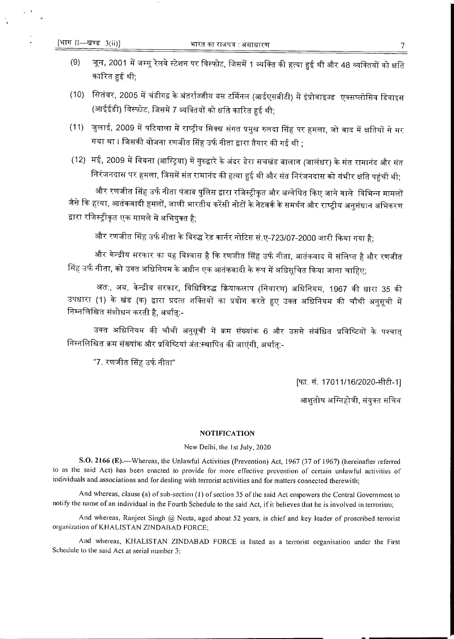- जून, 2001 में जम्मू रेलवे स्टेशन पर विस्फोट, जिसमें 1 व्यक्ति की हत्या हुई थी और 48 व्यक्तियों को क्षति  $(9)$ कारित हुई थी:
- (10) सितंबर, 2005 में चंडीगढ़ के अंतर्राज्जीय बस टर्मिनल (आईएसबीटी) में इंप्रोवाइज्ड एक्सप्लोसिव डिवाइस (आईईडी) विस्फोट, जिसमें 7 व्यक्तियों को क्षति कारित हुई थी;
- (11) जुलाई, 2009 में पटियाला में राष्ट्रीय सिक्ख संगत प्रमुख रुलदा सिंह पर हमला, जो बाद में क्षतियों से मर गया था । जिसकी योजना रणजीत सिंह उर्फ नीता द्वारा तैयार की गई थी :
- (12) मई, 2009 में वियना (आस्ट्रिया) में गुरुद्वारे के अंदर डेरा सचखंड बालान (जालंधर) के संत रामानंद और संत निरंजनदास पर हमला, जिसमें संत रामानंद की हत्या हुई थी और संत निरंजनदास को गंभीर क्षति पहुंची थी;

और रणजीत सिंह उर्फ नीता पंजाब पुलिस द्वारा रजिस्ट्रीकृत और अन्वेषित किए जाने वाले विभिन्न मामलों जैसे कि हत्या, आतंकवादी हमलों, जाली भारतीय करेंसी नोटों के नेटवर्क के समर्थन और राष्ट्रीय अनुसंधान अभिकरण द्वारा रजिस्ट्रीकृत एक मामले में अभियुक्त है;

और रणजीत सिंह उर्फ नीता के विरुद्ध रेड कार्नर नोटिस सं.ए-723/07-2000 जारी किया गया है;

और केन्द्रीय सरकार का यह विश्वास है कि रणजीत सिंह उर्फ नीता, आतंकवाद में संलिप्त है और रणजीत सिंह उर्फ नीता, को उक्त अधिनियम के अधीन एक आतंकवादी के रूप में अधिसूचित किया जाना चाहिए;

अत:, अब, केन्द्रीय सरकार, विधिविरुद्ध क्रियाकलाप (निवारण) अधिनियम, 1967 की धारा 35 की उपधारा (1) के खंड (क) द्वारा प्रदत्त शक्तियों का प्रयोग करते हुए उक्त अधिनियम की चौथी अनुसूची में निम्नलिखित संशोधन करती है, अर्थात्:-

उक्त अधिनियम की चौथी अनुसूची में क्रम संख्यांक 6 और उससे संबंधित प्रविष्टियों के पश्चात् निम्नलिखित क्रम संख्यांक और प्रविष्टियां अंत:स्थापित की जाएंगी, अर्थात:-

"7. रणजीत सिंह उर्फ नीता"

[फा. सं. 17011/16/2020-सीटी-1]

आशतोष अग्निहोत्री, संयुक्त सचिव

## **NOTIFICATION**

#### New Delhi, the 1st July, 2020

S.O. 2166 (E).—Whereas, the Unlawful Activities (Prevention) Act, 1967 (37 of 1967) (hereinafter referred to as the said Act) has been enacted to provide for more effective prevention of certain unlawful activities of individuals and associations and for dealing with terrorist activities and for matters connected therewith;

And whereas, clause (a) of sub-section (1) of section 35 of the said Act empowers the Central Government to notify the name of an individual in the Fourth Schedule to the said Act, if it believes that he is involved in terrorism;

And whereas, Ranjeet Singh @ Neeta, aged about 52 years, is chief and key leader of proscribed terrorist organization of KHALISTAN ZINDABAD FORCE;

And whereas, KHALISTAN ZINDABAD FORCE is listed as a terrorist organisation under the First Schedule to the said Act at serial number 3;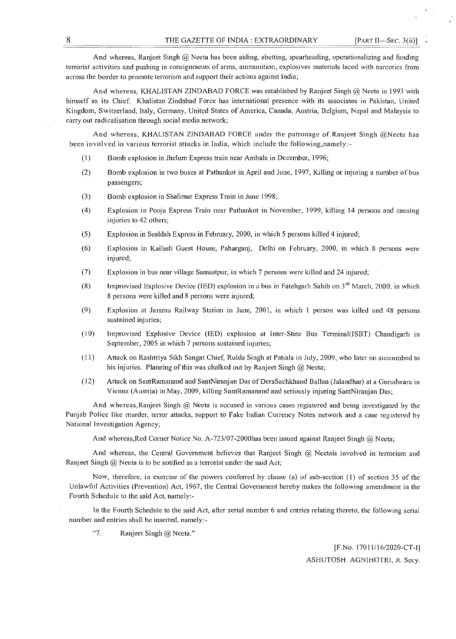And whereas, Ranjeet Singh @ Neeta has been aiding, abetting, spearheading, operationalizing and funding terrorist activities and pushing in consignments of arms, ammunition, explosives materials laced with narcotics from across the border to promote terrorism and support their actions against India;

And whereas, KHALISTAN ZINDABAD FORCE was established by Ranjeet Singh @ Neeta in 1993 with himself as its Chief. Khalistan Zindabad Force has international presence with its associates in Pakistan, United Kingdom, Switzerland, Italy, Germany, United States of America, Canada, Austria, Belgium, Nepal and Malaysia to carry out radicalisation through social media network;

And whereas, KHALISTAN ZINDABAD FORCE under the patronage of Ranjeet Singh @Neeta has been involved in various terrorist attacks in India, which include the following,namely: -

- (1) Bomb explosion in Jhelum Express train near Ambala in December, 1996;
- (2) Bomb explosion in two buses at Pathankot in April and June, 1997, Killing or injuring a number of bus passengers;
- (3) Bomb explosion in Shalimar Express Train in June 1998;
- (4) Explosion in Pooja Express Train near Pathankot in November, 1999, killing 14 persons and causing injuries to 42 others;
- (5) Explosion in Sealdah Express in February, 2000, in which 5 persons killed 4 injured;
- (6) Explosion in Kailash Guest House, Paharganj, Delhi on February, 2000, in which 8 persons were injured;
- (7) Explosion in bus near village Samastpur, in which 7 persons were killed and 24 injured;
- (8) Improvised Explosive Device (IED) explosion in a bus in Fatehgarh Sahib on  $3<sup>rd</sup>$  March, 2000, in which 8 persons were killed and 8 persons were injured;
- (9) Explosion at Jammu Railway Station in June, 2001, in which 1 person was killed and 48 persons sustained injuries;
- (10) Improvised Explosive Device (IED) explosion at Inter-State Bus Terminal(ISBT) Chandigarh in September, 2005 in which 7 persons sustained injuries;
- (11) Attack on Rashtriya Sikh Sangat Chief, Rulda Singh at Patiala in July, 2009, who later on succumbed to his injuries. Planning of this was chalked out by Ranjeet Singh @ Neeta;
- (12) Attack on SantRamanand and SantNiranjan Das of DeraSachkhand Ballan (Jalandhar) at a Gurudwara in Vienna (Austria) in May, 2009, killing SantRamanand and seriously injuring SantNiranjan Das;

And whereas,Ranjeet Singh @ Neeta is accused in various cases registered and being investigated by the Punjab Police like murder, terror attacks, support to Fake Indian Currency Notes network and a case registered by National Investigation Agency;

And whereas,Red Corner Notice No. A-723/07-2000has been issued against Ranjeet Singh @ Neeta;

And whereas, the Central Government believes that Ranjeet Singh @ Neetais involved in terrorism and Ranjeet Singh  $@$  Neeta is to be notified as a terrorist under the said Act;

Now, therefore, in exercise of the powers conferred by clause (a) of sub-section (1) of section 35 of the Unlawful Activities (Prevention) Act, 1967, the Central Government hereby makes the following amendment in the Fourth Schedule to the said Act, namely:-

In the Fourth Schedule to the said Act, after serial number 6 and entries relating thereto, the following serial number and entries shall be inserted, namely:-

 $~47.$ Ranjeet Singh @ Neeta."

> [F.No. 17011/16/2020-CT-I] ASHUTOSH AGNIHOTRI, Jt. Secy.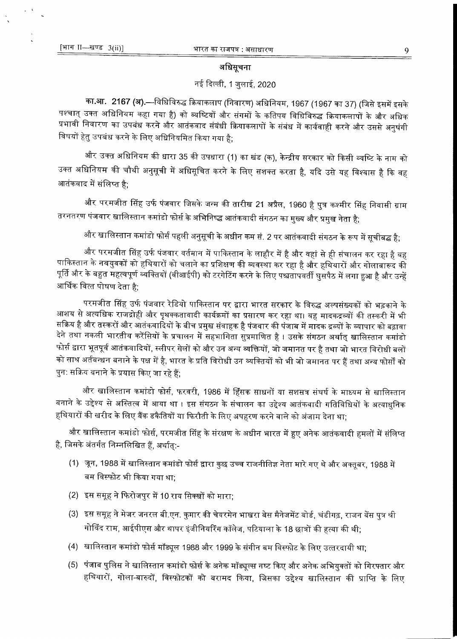## अधिसूचना

# नई दिल्ली, 1 जुलाई, 2020

का.<mark>आ. 2167 (अ).—</mark>विधिविरुद्ध क्रियाकलाप (निवारण) अधिनियम, 1967 (1967 का 37) (जिसे इसमें इसके पश्चात् उक्त अधिनियम कहा गया है) को व्यष्टियों और संगमों के कतिपय विधिविरुद्ध क्रियाकलापों के और अधिक प्रभावी निवारण का उपबंध करने और आतंकवाद संबंधी क्रियाकलापों के संबंध में कार्यवाही करने और उससे अनुषंगी विषयों हेतु उपबंध करने के लिए अधिनियमित किया गया है;

और उक्त अधिनियम की धारा 35 की उपधारा (1) का खंड (क), केन्द्रीय सरकार को किसी व्यष्टि के नाम को उक्त अधिनियम की चौथी अनुसूची में अधिसूचित करने के लिए सशक्त करता है, यदि उसे यह विश्वास है कि वह आतंकवाद में संलिप्त है:

और परमजीत सिंह उर्फ पंजवार जिसके जन्म की तारीख 21 अप्रैल, 1960 है पुत्र कश्मीर सिंह निवासी ग्राम तरनतरण पंजवार खालिस्तान कमांडो फोर्स के अभिनिष्द्ध आतंकवादी संगठन का मुख्य और प्रमुख नेता है;

और खालिस्तान कमांडो फोर्स पहली अनुसूची के अधीन कम सं. 2 पर आतंकवादी संगठन के रूप में सूचीबद्ध है;

और परमजीत सिंह उर्फ पंजवार वर्तमान में पाकिस्तान के लाहौर में है और वहां से ही संचालन कर रहा है वह पाकिस्तान के नवयुवकों को हथियारों को चलाने का प्रशिक्षण की व्यवस्था कर रहा है और हथियारों और गोलाबारूद की पूर्ति और के बहुत महत्वपूर्ण व्यक्तियों (वीआईपी) को टरगेटिंग करने के लिए पश्चतापवर्ती घुसपैठ में लगा हुआ है और उन्हें आर्थिक वित्त पोषण देता है:

परमजीत सिंह उर्फ पंजवार रेडियो पाकिस्तान पर द्वारा भारत सरकार के विरुद्ध अल्पसंख्यकों को भड़काने के आशय से अत्यधिक राजद्रोही और पृथक्कतावादी कार्यक्रमों का प्रसारण कर रहा था। वह मादकद्रव्यों की तस्करी में भी सक्रिय है और तस्करों और आतंकवादियों के बीच प्रमुख संवाहक है पंजवार की पंजाब में मादक द्रव्यों के व्यापार को बढ़ावा देने तथा नकली भारतीय करेंसियों के प्रचालन में सहभागिता सुप्रमाणित है । उसके संगठन अर्थात् खालिस्तान कमांडो फोर्स द्वारा भूतपूर्व आतंकवादियों, स्लीपर सेलों को और उन अन्य व्यक्तियों, जो जमानत पर है तथा जो भारत विरोधी बलो को साथ अर्तबन्धन बनाने के पक्ष में है, भारत के प्रति विरोधी उन व्यक्तियों को भी जो जमानत पर हैं तथा अन्य फोर्सों को पुन: सक्रिय बनाने के प्रयास किए जा रहे हैं;

और खालिस्तान कमांडो फोर्स, फरवरी, 1986 में हिंसक साधनों या सशसत्र संघर्ष के माध्यम से खालिस्तान बनाने के उद्देश्य से अस्तित्व में आया था । इस संगठन के संचालन का उद्देश्य आतंकवादी गतिविधियों के अत्याधुनिक हथियारों की खरीद के लिए बैंक डकैतियों या फिरौती के लिए अपहरण करने वाले को अंजाम देना था;

और खालिस्तान कमांडो फोर्स, परमजीत सिंह के संरक्षण के अधीन भारत में हुए अनेक आतंकवादी हमलों में संलिप्त है, जिसके अंतर्गत निम्नलिखित हैं, अर्थात्:-

- (1) जून, 1988 में खालिस्तान कमांडो फोर्स द्वारा कुछ उच्च राजनीतिज्ञ नेता मारे गए थे और अक्तूबर, 1988 में बम विस्फोट भी किया गया था:
- (2) इस समूह ने फिरोजपुर में 10 राय सिक्खों को मारा:
- (3) इस समूह ने मेजर जनरल बी.एन. कुमार की चेयरमेन भाखरा बेस मैनेजमेंट बोर्ड, चंडीगढ़, राजन बेंस पुत्र श्री गोविंद राम, आईपीएस और थापर इंजीनियरिंग कॉलेज, पटियाला के 18 छात्रों की हत्या की थी;
- (4) खालिस्तान कमांडो फोर्स मॉड्यूल 1988 और 1999 के संगीन बम विस्फोट के लिए उत्तरदायी था;
- (5) पंजाब पुलिस ने खालिस्तान कमांडो फोर्स के अनेक मॉड्यूल्स नष्ट किए और अनेक अभियुक्तों को गिरफ्तार और हथियारों, गोला-बारुदों, विस्फोटकों को बरामद किया, जिसका उद्देश्य खालिस्तान की प्राप्ति के लिए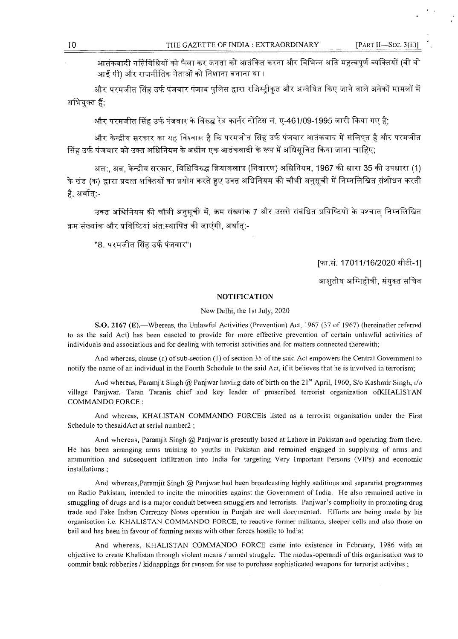[PART II-SEC.  $3(ii)$ ]

आतंकवादी गतिविधियों को फैला कर जनता को आतंकित करना और विभिन्न अति महत्वपूर्ण व्यक्तियों (बी वी आई पी) और राजनीतिक नेताओं को निशाना बनाना था ।

और परमजीत सिंह उर्फ पंजवार पंजाब पुलिस द्वारा रजिस्ट्रीकृत और अन्वेषित किए जाने वाले अनेकों मामलों में अभियुक्त हैं;

और परमजीत सिंह उर्फ पंजवार के विरुद्ध रेड कार्नर नोटिस सं. ए-461/09-1995 जारी किया गए हैं;

और केन्द्रीय सरकार का यह विश्वास है कि परमजीत सिंह उर्फ पंजवार आतंकवाद में संलिपत है और परमजीत सिंह उर्फ पंजवार को उक्त अधिनियम के अधीन एक आतंकवादी के रूप में अधिसूचित किया जाना चाहिए;

अत:. अब. केन्द्रीय सरकार. विधिविरुद्ध क्रियाकलाप (निवारण) अधिनियम. 1967 की धारा 35 की उपधारा (1) के खंड (क) द्वारा प्रदत्त शक्तियों का प्रयोग करते हुए उक्त अधिनियम की चौथी अनुसूची में निम्नलिखित संशोधन करती है. अर्थात:-

उक्त अधिनियम की चौथी अनुसूची में, क्रम संख्यांक 7 और उससे संबंधित प्रविष्टियों के पश्चात् निम्नलिखित क्रम संख्यांक और प्रविष्टियां अंत:स्थापित की जाएंगी, अर्थात:-

"8. परमजीत सिंह उर्फ पंजवार"।

[फा.सं. 17011/16/2020 सीटी-1]

आशतोष अग्निहोत्री, संयक्त सचिव

#### **NOTIFICATION**

#### New Delhi, the 1st July, 2020

S.O. 2167 (E).—Whereas, the Unlawful Activities (Prevention) Act, 1967 (37 of 1967) (hereinafter referred to as the said Act) has been enacted to provide for more effective prevention of certain unlawful activities of individuals and associations and for dealing with terrorist activities and for matters connected therewith;

And whereas, clause (a) of sub-section (1) of section 35 of the said Act empowers the Central Government to notify the name of an individual in the Fourth Schedule to the said Act, if it believes that he is involved in terrorism;

And whereas, Paramjit Singh @ Panjwar having date of birth on the 21<sup>st</sup> April, 1960, S/o Kashmir Singh, r/o village Panjwar, Taran Taranis chief and key leader of proscribed terrorist organization ofKHALISTAN **COMMANDO FORCE:** 

And whereas, KHALISTAN COMMANDO FORCEis listed as a terrorist organisation under the First Schedule to thesaidAct at serial number2;

And whereas, Paramjit Singh @ Panjwar is presently based at Lahore in Pakistan and operating from there. He has been arranging arms training to youths in Pakistan and remained engaged in supplying of arms and ammunition and subsequent infiltration into India for targeting Very Important Persons (VIPs) and economic installations;

And whereas, Paramiit Singh @ Panjwar had been broadcasting highly seditious and separatist programmes on Radio Pakistan, intended to incite the minorities against the Government of India. He also remained active in smuggling of drugs and is a major conduit between smugglers and terrorists. Panjwar's complicity in promoting drug trade and Fake Indian Currency Notes operation in Punjab are well documented. Efforts are being made by his organisation i.e. KHALISTAN COMMANDO FORCE, to reactive former militants, sleeper cells and also those on bail and has been in favour of forming nexus with other forces hostile to lndia;

And whereas, KHALISTAN COMMANDO FORCE came into existence in February, 1986 with an objective to create Khalistan through violent means / armed struggle. The modus-operandi of this organisation was to commit bank robberies / kidnappings for ransom for use to purchase sophisticated weapons for terrorist activites;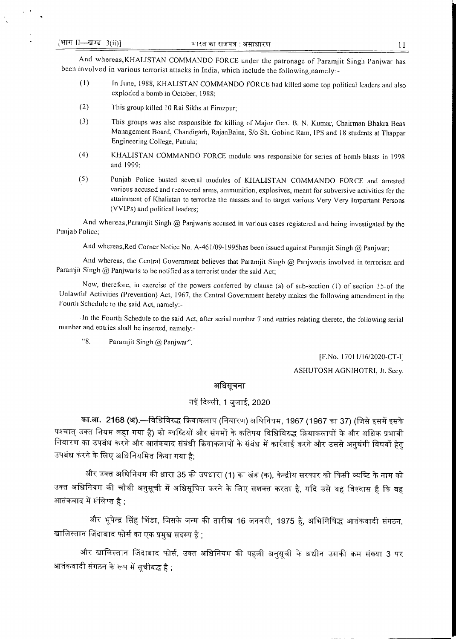And whereas,KHALISTAN COMMANDO FORCE under the patronage of Paramjit Singh Panjwar has been involved in various terrorist attacks in India, which include the following,namely:-

- (1) In June, 1988, KHALISTAN COMMANDO FORCE had killed some top political leaders and also exploded a bomb in October, 1988;
- (2) This group killed 10 Rai Sikhs at Firozpur;
- (3) This groups was also responsible for killing of Major Gen. B. N. Kumar, Chairman Bhakra Beas Management Board, Chandigarh, RajanBains, S/o Sh. Gobind Ram, IPS and 18 students at Thappar Engineering College, Patiala;
- (4) KHALISTAN COMMANDO FORCE module was responsible for series of bomb blasts in 1998 and 1999;
- (5) Punjab Police busted several modules of KHALISTAN COMMANDO FORCE and arrested various accused and recovered arms, ammunition, explosives, meant for subversive activities for the attainment of Khalistan to terrorize the masses and to target various Very Very Important Persons (VVIPs) and political leaders;

And whereas,Paramjit Singh @ Panjwaris accused in various cases registered and being investigated by the Punjab Police;

And whereas,Red Corner Notice No. A-461/09-1995has been issued against Paramjit Singh @ Panjwar;

And whereas, the Central Government believes that Paramjit Singh @ Panjwaris involved in terrorism and Paramjit Singh @ Panjwaris to be notified as a terrorist under the said Act;

Now, therefore, in exercise of the powers conferred by clause (a) of sub-section (I) of section 35-of the Unlawful Activities (Prevention) Act, 1967, the Central Government hereby makes the following amendment in the Fourth Schedule to the said Act, namely:-

In the Fourth Schedule to the said Act, after serial number 7 and entries relating thereto, the following serial number and entries shall be inserted, namely:-

 $"8.$ Paramjit Singh @ Panjwar".

> [F.No. 17011/16/2020-CT-I] ASHUTOSH AGNIHOTRI, Jt. Secy.

# अधिसूचना

# नई दिल्ली, 1 जुलाई, 2020

का.आ. 2168 (अ).—विधिविरुद्ध क्रियाकलाप (निवारण) अघिनियम, 1967 (1967 का 37) (जिसे इसमें इसके पश्चात् उक्त नियम कहा गया है) को व्यष्टियों और संगमों के कतिपय विधिविरुद्ध क्रियाकलापों के और अधिक प्रभावी निवारण का उपबंध करने और आतंकवाद संबंधी क्रियाकलापों के संबंध में कार्रवाई करने और उससे अनुषंगी विषयों हेतु उपबंध करने के लिए अधिनियमित किया गया है:

और उक्त अधिनियम की धारा 35 की उपधारा (1) का खंड (क), केन्द्रीय सरकार को किसी व्यष्टि के नाम को उक्त अधिनियम की चौथी अनुसूची में अधिसूचित करने के लिए सशक्त करता है, यदि उसे यह विश्वास है कि वह आतंकवाद में संलिप्त है $\cdot$ 

और भूपेन्द्र सिंह भिंडा, जिसके जन्म की तारीख 16 जनवरी, 1975 है, अभिनिषिद्ध आतंकवादी संगठन, खालिस्तान जिंदाबाद फोर्स का एक प्रमुख सदस्य है :

और खालिस्तान जिंदाबाद फोर्स, उक्त अधिनियम की पहली अनुसूची के अधीन उसकी क्रम संख्या 3 पर आतंकवादी संगठन के रूप में सचीबद्ध है :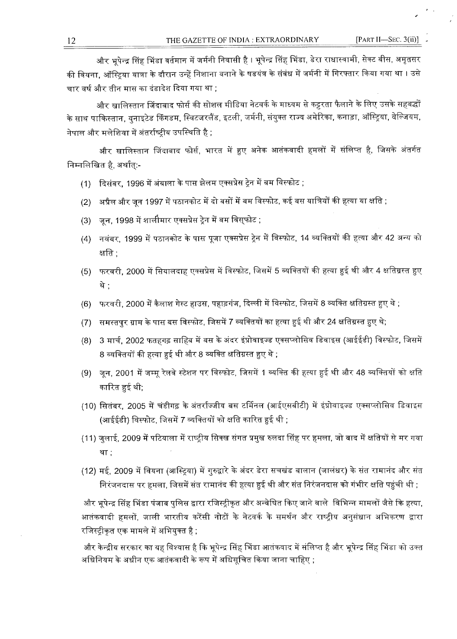और भूपेन्द्र सिंह भिंडा वर्तमान में जर्मनी निवासी है । भूपेन्द्र सिंह भिंडा, डेरा राधास्वामी, सेक्ट बीस, अमृतसर की वियना, ऑस्ट्रिया यात्रा के दौरान उन्हें निशाना बनाने के षडयंत्र के संबंध में जर्मनी में गिरफ्तार किया गया था । उसे चार वर्ष और तीन मास का दंडादेश दिया गया था ;

और खालिस्तान जिंदाबाद फोर्स की सोशल मीडिया नेटवर्क के माध्यम से कट्टरता फैलाने के लिए उसके सहबद्धों के साथ पाकिस्तान, युनाइटेड किंगडम, स्विटजरलैंड, इटली, जर्मनी, संयुक्त राज्य अमेरिका, कनाड़ा, ऑस्ट्रिया, वेल्जियम, नेपाल और मलेशिया में अंतर्राष्ट्रीय उपस्थिति है ;

और खालिस्तान जिंदाबाद फोर्स, भारत में हुए अनेक आतंकवादी हमलों में संलिप्त है, जिसके अंतर्गत निम्नलिखित है, अर्थात्:-

- (1) दिसंबर, 1996 में अंबाला के पास झेलम एक्सप्रेस ट्रेन में बम विस्फोट ;
- (2) अप्रैल और जून 1997 में पठानकोट में दो बसों में बम विस्फोट, कई बस यात्रियों की हत्या या क्षति ;
- जन. 1998 में शालीमार एक्सप्रेस ट्रेन में बम विसुफोट ;  $(3)$
- (4) नवंबर, 1999 में पठानकोट के पास पूजा एक्सप्रेस ट्रेन में विस्फोट, 14 व्यक्तियों की हत्या और 42 अन्य को क्षति :
- (5) फरवरी, 2000 में सियालदाह एक्सप्रेस में विस्फोट, जिसमें 5 व्यक्तियों की हत्या हुई थी और 4 क्षतिग्रस्त हुए थे :
- (6) फरवरी, 2000 में कैलाश गेस्ट हाउस, पहाड़गंज, दिल्ली में विस्फोट, जिसमें 8 व्यक्ति क्षतिग्रस्त हुए थे ;
- समस्तपुर ग्राम के पास बस विस्फोट, जिसमें 7 व्यक्तियों का हत्या हुई थी और 24 क्षतिग्रस्त हुए थे;  $(7)$
- 3 मार्च, 2002 फतहगढ़ साहिब में बस के अंदर इंप्रोवाइज्ड एक्सप्लोसिव डिवाइस (आईईडी) विस्फोट, जिसमें  $(8)$ 8 व्यक्तियों की हत्या हुई थी और 8 व्यक्ति क्षतिग्रस्त हुए थे ;
- (9) जून, 2001 में जम्मू रेलवे स्टेशन पर विस्फोट, जिसमें 1 व्यक्ति की हत्या हुई थी और 48 व्यक्तियों को क्षति कारित हुई थी;
- (10) सितंबर, 2005 में चंडीगढ़ के अंतर्राज्जीय बस टर्मिनल (आईएसबीटी) में इंप्रोवाइज्ड एक्सप्लोसिव डिवाइस (आईईडी) विस्फोट, जिसमें 7 व्यक्तियों को क्षति कारित हुई थी ;
- (11) जुलाई, 2009 में पटियाला में राष्ट्रीय सिक्ख संगत प्रमुख रुलदा सिंह पर हमला, जो बाद में क्षतियों से मर गया था :
- (12) मई, 2009 में वियना (आस्ट्रिया) में गुरुद्वारे के अंदर डेरा सचखंड बालान (जालंधर) के संत रामानंद और संत निरंजनदास पर हमला, जिसमें संत रामानंद की हत्या हुई थी और संत निरंजनदास को गंभीर क्षति पहुंची थी ;

और भूपेन्द्र सिंह भिंडा पंजाब पुलिस द्वारा रजिस्ट्रीकृत और अन्वेषित किए जाने वाले विभिन्न मामलों जैसे कि हत्या आतंकवादी हमलों, जाली भारतीय करेंसी नोटों के नेटवर्क के समर्थन और राष्ट्रीय अनुसंधान अभिकरण द्वारा रजिस्ट्रीकृत एक मामले में अभियुक्त है ;

और केन्द्रीय सरकार का यह विश्वास है कि भूपेन्द्र सिंह भिंडा आतंकवाद में संलिप्त है और भूपेन्द्र सिंह भिंडा को उक्त अधिनियम के अधीन एक आतंकवादी के रूप में अधिसूचित किया जाना चाहिए ;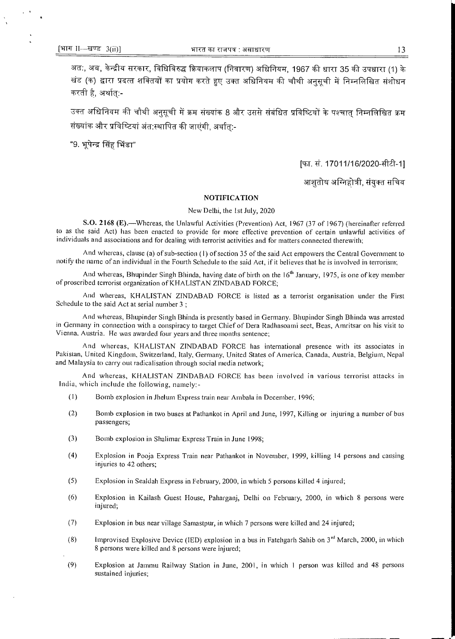अतः, अब, केन्द्रीय सरकार, विधिविरुद्ध क्रियाकलाप (निवारण) अधिनियम, 1967 की धारा 35 की उपधारा (1) के खंड (क) द्वारा प्रदत्त शक्तियों का प्रयोग करते हुए उक्त अधिनियम की चौथी अनुसूची में निम्नलिखित संशोधन करती है, अर्थात:-

उक्त अधिनियम की चौथी अनुसूची में क्रम संख्यांक 8 और उससे संबंधित प्रविष्टियों के पश्चात् निम्नलिखित क्रम संख्यांक और प्रविष्टियां अंत:स्थापित की जाएंगी. अर्थात:-

"9. भूपेन्द्र सिंह भिंडा"

[फा. सं. 17011/16/2020-सीटी-1]

आशुतोष अग्निहोत्री, संयुक्त सचिव

#### **NOTIFICATION**

#### New Delhi, the 1st July, 2020

S.O. 2168 (E). - Whereas, the Unlawful Activities (Prevention) Act, 1967 (37 of 1967) (hereinafter referred to as the said Act) has been enacted to provide for more effective prevention of certain unlawful activities of individuals and associations and for dealing with terrorist activities and for matters connected therewith;

And whereas, clause (a) of sub-section (1) of section 35 of the said Act empowers the Central Government to notify the name of an individual in the Fourth Schedule to the said Act, if it believes that he is involved in terrorism;

And whereas, Bhupinder Singh Bhinda, having date of birth on the 16<sup>th</sup> January, 1975, is one of key member of proscribed terrorist organization of KHALISTAN ZINDABAD FORCE;

And whereas, KHALISTAN ZINDABAD FORCE is listed as a terrorist organisation under the First Schedule to the said Act at serial number 3;

And whereas, Bhupinder Singh Bhinda is presently based in Germany. Bhupinder Singh Bhinda was arrested in Germany in connection with a conspiracy to target Chief of Dera Radhasoami sect, Beas, Amritsar on his visit to Vienna, Austria. He was awarded four years and three months sentence;

And whereas, KHALISTAN ZINDABAD FORCE has international presence with its associates in Pakistan, United Kingdom, Switzerland, Italy, Germany, United States of America, Canada, Austria, Belgium, Nepal and Malaysia to carry out radicalisation through social media network;

And whereas, KHALISTAN ZINDABAD FORCE has been involved in various terrorist attacks in India, which include the following, namely:-

- $(1)$ Bomb explosion in Jhelum Express train near Ambala in December, 1996;
- $(2)$ Bomb explosion in two buses at Pathankot in April and June, 1997, Killing or injuring a number of bus passengers;
- $(3)$ Bomb explosion in Shalimar Express Train in June 1998;
- $(4)$ Explosion in Pooja Express Train near Pathankot in November, 1999, killing 14 persons and causing injuries to 42 others;
- $(5)$ Explosion in Sealdah Express in February, 2000, in which 5 persons killed 4 injured;
- $(6)$ Explosion in Kailash Guest House, Paharganj, Delhi on February, 2000, in which 8 persons were injured;
- $(7)$ Explosion in bus near village Samastpur, in which 7 persons were killed and 24 injured;
- $(8)$ Improvised Explosive Device (IED) explosion in a bus in Fatehgarh Sahib on  $3<sup>rd</sup>$  March, 2000, in which 8 persons were killed and 8 persons were injured;
- $(9)$ Explosion at Jammu Railway Station in June, 2001, in which 1 person was killed and 48 persons sustained injuries;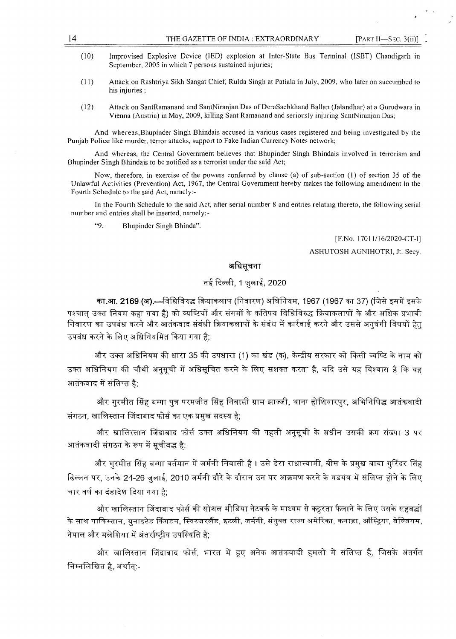- (10) Improvised Explosive Device (IED) explosion at Inter-State Bus Terminal (ISBT) Chandigarh in September, 2005 in which 7 persons sustained injuries;
- (11) Attack on Rashtriya Sikh Sangat Chief, Rulda Singh at Patiala in July, 2009, who later on succumbed to his injuries ;
- (12) Attack on SantRamanand and SantNiranjan Das of DeraSachkhand Ballan (Jalandhar) at a Gurudwara in Vienna (Austria) in May, 2009, killing Sant Ramanand and seriously injuring SantNiranjan Das;

And whereas,Bhupinder Singh Bhindais accused in various cases registered and being investigated by the Punjab Police like murder, terror attacks, support to Fake Indian Currency Notes network;

And whereas, the Central Government believes that Bhupinder Singh Bhindais involved in terrorism and Bhupinder Singh Bhindais to be notified as a terrorist under the said Act;

Now, therefore, in exercise of the powers conferred by clause (a) of sub-section (1) of section 35 of the Unlawful Activities (Prevention) Act, 1967, the Central Government hereby makes the following amendment in the Fourth Schedule to the said Act, namely:-

In the Fourth Schedule to the said Act, after serial number 8 and entries relating thereto, the following serial number and entries shall be inserted, namely:-

"9. Bhupinder Singh Bhinda".

[F.No. 17011/16/2020-CT-I]

ASHUTOSH AGNIHOTRI, Jt. Secy.

### अधिसूचना

# नई दिल्ली, 1 जुलाई, 2020

का.आ. 2169 (अ).---विधिविरुद्ध क्रियाकलाप (निवारण) अघिनियम, 1967 (1967 का 37) (जिसे इसमें इसके पश्चात उक्त नियम कहा गया है) को व्यष्टियों और संगमों के कतिपय विधिविरुद्ध क्रियाकलापों के और अधिक प्रभावी निवारण का उपबंध करने और आतंकवाद संबंधी क्रियाकलापों के संबंध में कार्रवाई करने और उससे अनुषंगी विषयों हेत उपबंध करने के लिए अधिनियमित किया गया है;

और उक्त अधिनियम की धारा 35 की उपधारा (1) का खंड (क), केन्द्रीय सरकार को किसी व्यष्टि के नाम को उक्त अधिनियम की चौथी अनुसूची में अधिसुचित करने के लिए सशक्त करता है, यदि उसे यह विश्वास है कि वह आतंकवाद में संलिप्त है;

और गरमीत सिंह बग्गा पत्र परमजीत सिंह निवासी ग्राम झाज्जी, थाना होशियारपुर, अभिनिषिद्ध आतंकवादी संगठन, खालिस्तान जिंदाबाद फोर्स का एक प्रमुख सदस्य है;

और खालिस्तान जिंदाबाद फोर्स उक्त अधिनियम की पहली अनुसूची के अधीन उसकी क्रम संख्या 3 पर आतंकवादी संगठन के रूप में सचीबद्ध है:

और गुरमीत सिंह बग्गा वर्तमान में जर्मनी निवासी है । उसे डेरा राधास्वामी, बीस के प्रमुख बाबा गुरिंदर सिंह ढिल्लन पर, उनके 24-26 जुलाई, 2010 जर्मनी दौरे के दौरान उन पर आक्रमण करने के षडयंत्र में संलिप्त होने के लिए चार वर्ष का दंडादेश दिया गया है:

और खालिस्तान जिंदाबाद फोर्स की सोशल मीडिया नेटवर्क के माध्यम से कट्टरता फैलाने के लिए उसके सहबद्धों के साथ पाकिस्तान, युनाइटेड किंगडम, स्विटजरलैंड, इटली, जर्मनी, संयुक्त राज्य अमेरिका, कनाड़ा, ऑस्ट्रिया, बेल्जियम, नेपाल और मलेशिया में अंतर्राष्ट्रीय उपस्थिति है;

और खालिस्तान जिंदाबाद फोर्स, भारत में हुए अनेक आतंकवादी हमलों में संलिप्त है, जिसके अंतर्गत निम्नलिखित है, अर्थात्:-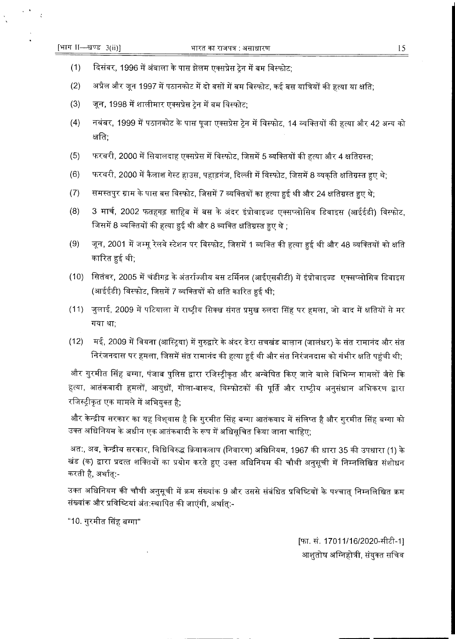$\epsilon$  .

- $(1)$ दिसंबर, 1996 में अंबाला के पास झेलम एक्सप्रेस ट्रेन में बम विस्फोट;
- $(2)$ अप्रैल और जून 1997 में पठानकोट में दो बसों में बम विस्फोट, कई बस यात्रियों की हत्या या क्षति;
- $(3)$ जून, 1998 में शालीमार एक्सप्रेस ट्रेन में बम विस्फोट;
- $(4)$ नवंबर, 1999 में पठानकोट के पास पूजा एक्सप्रेस ट्रेन में विस्फोट, 14 व्यक्तियों की हत्या और 42 अन्य को क्षति:
- $(5)$ फरवरी, 2000 में सियालदाह एक्सप्रेस में विस्फोट, जिसमें 5 व्यक्तियों की हत्या और 4 क्षतिग्रस्त;
- $(6)$ फरवरी, 2000 में कैलाश गेस्ट हाउस, पहाड़गंज, दिल्ली में विस्फोट, जिसमें 8 व्यकति क्षतिग्रस्त हुए थे:
- $(7)$ समस्तपुर ग्राम के पास बस विस्फोट, जिसमें 7 व्यक्तियों का हत्या हुई थी और 24 क्षतिग्रस्त हुए थे;
- $(8)$ 3 मार्च, 2002 फतहगढ़ साहिब में बस के अंदर इंप्रोवाइज्ड एक्सप्लोसिव डिवाइस (आईईडी) विस्फोट, जिसमें 8 व्यक्तियों की हत्या हुई थी और 8 व्यक्ति क्षतिग्रस्त हुए थे ;
- जून, 2001 में जम्मू रेलवे स्टेशन पर विस्फोट, जिसमें 1 व्यक्ति की हत्या हुई थी और 48 व्यक्तियों को क्षति  $(9)$ कारित हुई थी;
- (10) सितंबर, 2005 में चंडीगढ़ के अंतर्राज्जीय बस टर्मिनल (आईएसबीटी) में इंप्रोवाइज्ड एक्सप्लोसिव डिवाइस (आईईडी) विस्फोट, जिसमें 7 व्यक्तियों को क्षति कारित हुई थी;
- (11) जुलाई, 2009 में पटियाला में राष्ट्रीय सिक्ख संगत प्रमुख रुलदा सिंह पर हमला, जो बाद में क्षतियों से मर गया था:
- $(12)$ मई, 2009 में वियना (आस्ट्रिया) में गुरुद्वारे के अंदर डेरा सचखंड बालान (जालंधर) के संत रामानंद और संत निरंजनदास पर हमला, जिसमें संत रामानंद की हत्या हुई थी और संत निरंजनदास को गंभीर क्षति पहुंची थी;

और गुरमीत सिंह बग्गा, पंजाब पुलिस द्वारा रजिस्ट्रीकृत और अन्वेषित किए जाने वाले विभिन्न मामलों जैसे कि हत्या, आतंकवादी हमलों, आयुधों, गोला-बारूद, विस्फोटकों की पूर्ति और राष्ट्रीय अनुसंधान अभिकरण द्वारा रजिस्ट्रीकृत एक मामले में अभियुक्त है;

और केन्द्रीय सरकार का यह विश्वास है कि गुरमीत सिंह बग्गा आतंकवाद में संलिप्त है और गुरमीत सिंह बग्गा को उक्त अधिनियम के अधीन एक आतंकवादी के रूप में अधिसूचित किया जाना चाहिए;

अत:, अब, केन्द्रीय सरकार, विधिविरुद्ध क्रियाकलाप (निवारण) अधिनियम, 1967 की धारा 35 की उपधारा (1) के खंड (क) द्वारा प्रदत्त शक्तियों का प्रयोग करते हुए उक्त अधिनियम की चौथी अनुसूची में निम्नलिखित संशोधन करती है, अर्थात्:-

उक्त अधिनियम की चौथी अनुसूची में क्रम संख्यांक 9 और उससे संबंधित प्रविष्टियों के पश्चात् निम्नलिखित क्रम संख्यांक और प्रविष्टियां अंत:स्थापित की जाएंगी, अर्थात्:-

"10. गुरमीत सिंह बग्गा"

[फा. सं. 17011/16/2020-सीटी-1] आशुतोष अग्निहोत्री, संयुक्त सचिव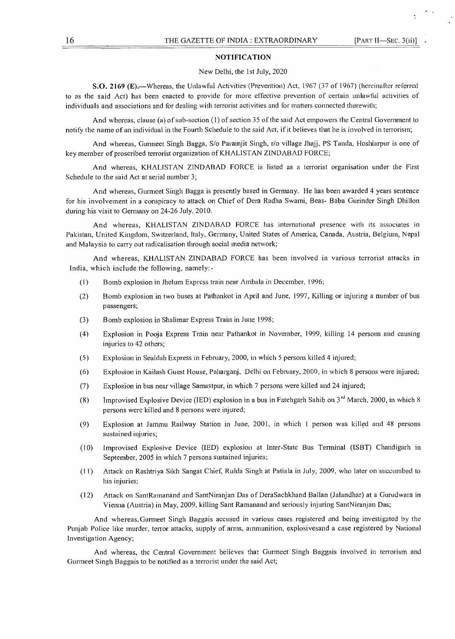#### NOTIFICATION

#### New Delhi, the 1st July, 2020

S.O. 2169 (E).—Whereas, the Unlawful Activities (Prevention) Act, 1967 (37 of 1967) (hereinafter referred to as the said Act) has been enacted to provide for more effective prevention of certain unlawful activities of individuals and associations and for dealing with terrorist activities and for matters connected therewith;

And whereas, clause (a) of sub-section (1) of section 35 of the said Act empowers the Central Government to notify the name of an individual in the Fourth Schedule to the said Act, if it believes that he is involved in terrorism;

And whereas, Gurmeet Singh Bagga, S/o Paramjit Singh, r/o village Jhajj, PS Tanda, Hoshiarpur is one of key member of proscribed terrorist organization of KHALISTAN ZINDABAD FORCE;

And whereas, KHALISTAN ZINDABAD FORCE is listed as a terrorist organisation under the First Schedule to the said Act at serial number 3;

And whereas, Gurmeet Singh Bagga is presently based in Germany. He has been awarded 4 years sentence for his involvement in a conspiracy to attack on Chief of Dera Radha Swami, Beas- Baba Gurinder Singh Dhillon during his visit to Germany on 24-26 July, 2010.

And whereas, KHALISTAN ZINDABAD FORCE has international presence with its associates in Pakistan, United Kingdom, Switzerland, Italy, Germany, United States of America, Canada, Austria, Belgium, Nepal and Malaysia to carry out radicalisation through social media network;

And whereas, KHALISTAN ZINDABAD FORCE has been involved in various terrorist attacks in India, which include the following, namely:-

- (1) Bomb explosion in Jhelum Express train near Ambala in December, 1996;
- (2) Bomb explosion in two buses at Pathankot in April and June, 1997, Killing or injuring a number of bus passengers;
- (3) Bomb explosion in Shalimar Express Train in June 1998;
- (4) Explosion in Pooja Express Train near Pathankot in November, 1999, killing 14 persons and causing injuries to 42 others;
- (5) Explosion in Sealdah Express in February, 2000, in which 5 persons killed 4 injured;
- (6) Explosion in Kailash Guest House, Paharganj, Delhi on February, 2000, in which 8 persons were injured;
- (7) Explosion in bus near village Samastpur, in which 7 persons were killed and 24 injured;
- (8) Improvised Explosive Device (IED) explosion in a bus in Fatehgarh Sahib on  $3^{rd}$  March, 2000, in which 8 persons were killed and 8 persons were injured;
- (9) Explosion at Jammu Railway Station in June, 2001, in which 1 person was killed and 48 persons sustained injuries;
- (10) Improvised Explosive Device (IED) explosion at Inter-State Bus Terminal (ISBT) Chandigarh in September, 2005 in which 7 persons sustained injuries;
- (11) Attack on Rashtriya Sikh Sangat Chief, Rulda Singh at Patiala in July, 2009, who later on succumbed to his injuries;
- (12) Attack on SantRamanand and SantNiranjan Das of DeraSachkhand Ballan (Jalandhar) at a Gurudwara in Vienna (Austria) in May, 2009, killing Sant Ramanand and seriously injuring SantNiranjan Das;

And whereas,Gurrneet Singh Baggais accused in various cases registered and being investigated by the Punjab Police like murder, terror attacks, supply of arms, ammunition, explosivesand a case registered by National Investigation Agency;

And whereas, the Central Government believes that Gurmeet Singh Baggais involved in terrorism and Gurmeet Singh Baggais to be notified as a terrorist under the said Act;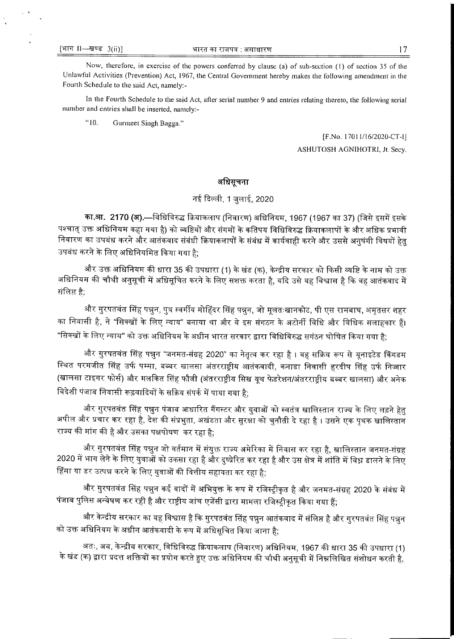Now, therefore, in exercise of the powers conferred by clause (a) of sub-section (1) of section 35 of the Unlawful Activities (Prevention) Act, 1967, the Central Government hereby makes the following amendment in the Fourth Schedule to the said Act, namely:-

In the Fourth Schedule to the said Act, after serial number 9 and entries relating thereto, the following serial number and entries shall be inserted, namely:-

"10. Gurmeet Singh Bagga."

> [F.No. 17011/16/2020-CT-1] ASHUTOSH AGNIHOTRI, Jt. Secy.

## अधिसूचना

# नई दिल्ली, 1 जुलाई, 2020

का.आ. 2170 (अ).—विधिविरुद्ध क्रियाकलाप (निवारण) अधिनियम, 1967 (1967 का 37) (जिसे इसमें इसके पश्चात् उक्त अधिनियम कहा गया है) को व्यष्टियों और संगमों के कतिपय विधिविरुद्ध क्रियाकलापों के और अधिक प्रभावी निवारण का उपबंध करने और आतंकवाद संबंधी क्रियाकलापों के संबंध में कार्यवाही करने और उससे अनुषंगी विषयों हेत् उपबंध करने के लिए अधिनियमित किया गया है;

और उक्त अधिनियम की धारा 35 की उपधारा (1) के खंड (क), केन्द्रीय सरकार को किसी व्यष्टि के नाम को उक्त अधिनियम की चौथी अनुसूची में अधिसूचित करने के लिए सशक्त करता है, यदि उसे यह विश्वास है कि वह आतंकवाद में संलिप्त है;

और गुरपतवंत सिंह पन्नुन, पुत्र स्वर्गीय मोहिंदर सिंह पन्नुन, जो मूलतःखानकोट, पी एस रामबाघ, अमृतसर शहर का निवासी है, ने "सिक्खों के लिए न्याय" बनाया था और वे इस संगठन के अटोर्नी विधि और विधिक सलाहकार हैं। "सिक्खों के लिए न्याय" को उक्त अधिनियम के अधीन भारत सरकार द्वारा विधिविरुद्ध सगंठन घोषित किया गया है;

और गुरपतवंत सिंह पन्नुन "जनमत-संग्रह 2020" का नेतृत्व कर रहा है । वह सक्रिय रूप से यूनाइटेड किंगडम स्थित परमजीत सिंह उर्फ पम्मा, बब्बर खालसा अंतरराष्ट्रीय आतंकवादी, कनाडा निवासी हरदीप सिंह उर्फ निज्जार (खालसा टाइगर फोर्स) और मलकित सिंह फौजी (अंतरराष्ट्रीय सिख यूथ फेडरेशन/अंतरराष्ट्रीय बब्बर खालसा) और अनेक विदेशी पंजाब निवासी रूढ़वादियों के सक्रिय संपर्क में पाया गया है;

और गुरपतवंत सिंह पन्नुन पंजाब आधारित गैंगस्टर और युवाओं को स्वतंत्र खालिस्तान राज्य के लिए लड़ने हेतु अपील और प्रचार कर रहा है, देश की संप्रभुता, अखंडता और सुरक्षा को चुनौती दे रहा है । उसने एक पृथक खालिस्तान राज्य की मांग की है और उसका पक्षपोषण कर रहा है:

और गुरपतवंत सिंह पन्नुन जो वर्तमान में संयुक्त राज्य अमेरिका में निवास कर रहा है, खालिस्तान जनमत-संग्रह 2020 में भाग लेने के लिए युवाओं को उकसा रहा है और दुष्प्रेरित कर रहा है और उस क्षेत्र में शांति में विध्न डालने के लिए हिंसा या डर उत्पन्न करने के लिए युवाओं की वित्तीय सहायता कर रहा है;

और गुरपतवंत सिंह पन्नुन कई वादों में अभियुक्त के रूप में रजिस्ट्रीकृत है और जनमत-संग्रह 2020 के संबंध में पंजाब पुलिस अन्वेषण कर रही है और राष्ट्रीय जांच एजेंसी द्वारा मामला रजिस्ट्रीकृत किया गया हैं;

और केन्द्रीय सरकार का यह विश्वास है कि गुरपतवंत सिंह पन्नुन आतंकवाद में संलिप्त है और गुरपतवंत सिंह पन्नुन को उक्त अधिनियम के अधीन आतंकवादी के रूप में अधिसूचित किया जाना है;

अतः, अब, केन्द्रीय सरकार, विधिविरुद्ध क्रियाकलाप (निवारण) अधिनियम, 1967 की धारा 35 की उपधारा (1) के खंड (क) द्वारा प्रदत्त शक्तियों का प्रयोग करते हुए उक्त अधिनियम की चौथी अनुसूची में निम्नलिखित संशोधन करती है,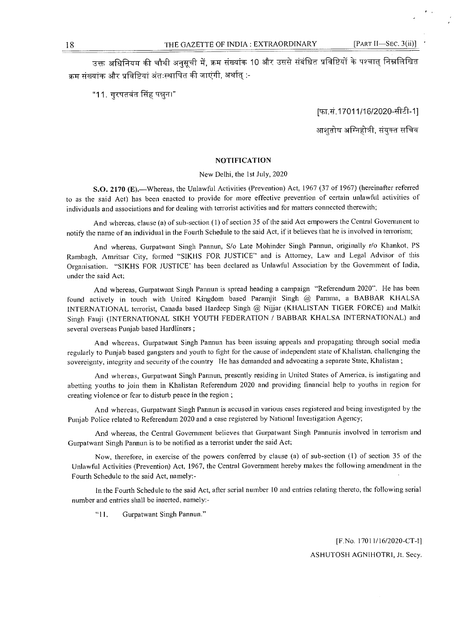उक्त अधिनियम की चौथी अनुसूची में, क्रम संख्यांक 10 और उससे संबंधित प्रविष्टियों के पश्चात् निम्नलिखित क्रम संख्यांक और प्रविष्टियां अंतःस्थापित की जाएंगी, अर्थात् :-

"11. गुरपतवंत सिंह पन्नुन।"

[फा.सं.17011/16/2020-सीटी-1]

आशतोष अग्निहोत्री, संयुक्त सचिव

### NOTIFICATION

#### New Delhi, the 1st July, 2020

S.O. 2170 (E).—Whereas, the Unlawful Activities (Prevention) Act, 1967 (37 of 1967) (hereinafter referred to as the said Act) has been enacted to provide for more effective prevention of certain unlawftil activities of individuals and associations and for dealing with terrorist activities and for matters connected therewith;

And whereas, clause (a) of sub-section (1) of section 35 of the said Act empowers the Central Government to notify the name of an individual in the Fourth Schedule to the said Act, if it believes that he is involved in terrorism;

And whereas, Gurpatwant Singh Pannun, S/o Late Mohinder Singh Pannun, originally r/o Khankot, PS Rambagh, Amritsar City, formed "SIKHS FOR JUSTICE" and is Attorney, Law and Legal Advisor of this Organisation. "SIKHS FOR JUSTICE' has been declared as Unlawful Association by the Government of India, under the said Act;

And whereas, Gurpatwant Singh Pannun is spread heading a campaign "Referendum 2020". He has been found actively in touch with United Kingdom based Paramjit Singh @ Pamma, a BABBAR KHALSA INTERNATIONAL terrorist, Canada based Hardeep Singh @ Nijjar (KHALISTAN TIGER FORCE) and Malkit Singh Fauji (INTERNATIONAL SIKH YOUTH FEDERATION / BABBAR KHALSA INTERNATIONAL) and several overseas Punjab based Hardliners ;

And whereas, Gurpatwant Singh Pannun has been issuing appeals and propagating through social media regularly to Punjab based gangsters and youth to fight for the cause of independent state of Khalistan, challenging the sovereignty, integrity and security of the country He has demanded and advocating a separate State, Khalistan ;

And whereas, Gurpatwant Singh Pannun, presently residing in United States of America, is instigating and abetting youths to join them in Khalistan Referendum 2020 and providing financial help to youths in region for creating violence or fear to disturb peace in the region ;

And whereas, Gurpatwant Singh Pannun is accused in various cases registered and being investigated by the Punjab Police related to Referendum 2020 and a case registered by National Investigation Agency;

And whereas, the Central Government believes that Gurpatwant Singh Pannunis involved in terrorism and Gurpatwant Singh Pannun is to be notified as a terrorist under the said Act;

Now, therefore, in exercise of the powers conferred by clause (a) of sub-section (1) of section 35 of the Unlawful Activities (Prevention) Act, 1967, the Central Government hereby makes the following amendment in the Fourth Schedule to the said Act, namely:-

In the Fourth Schedule to the said Act, afier serial number 10 and entries relating thereto, the following serial number and entries shall be inserted, namely:-

"11. Gurpatwant Singh Pannun."

[F.No. 17011/16/2020-CT-H ASHUTOSH AGNIHOTRI, Jt. Secy.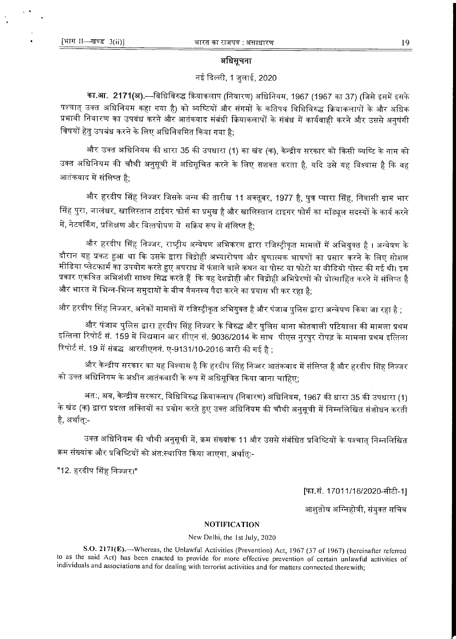### अधिसूचना

# नई दिल्ली, 1 जुलाई, 2020

का.आ. 2171(अ).—विधिविरुद्ध क्रियाकलाप (निवारण) अधिनियम, 1967 (1967 का 37) (जिसे इसमें इसके पश्चात् उक्त अधिनियम कहा गया है) को व्यष्टियों और संगमों के कतिपय विधिविरुद्ध क्रियाकलापों के और अधिक प्रभावी निवारण का उपबंध करने और आतंकवाद संबंधी क्रियाकलापों के संबंध में कार्यवाही करने और उससे अनुषंगी विषयों हेतु उपबंध करने के लिए अधिनियमित किया गया है:

और उक्त अधिनियम की धारा 35 की उपधारा (1) का खंड (क), केन्द्रीय सरकार को किसी व्यष्टि के नाम को उक्त अधिनियम की चौथी अनुसूची में अधिसूचित करने के लिए सशक्त करता है, यदि उसे यह विश्वास है कि वह आतंकवाद में संलिप्त है:

और हरदीप सिंह निज्जर जिसके जन्म की तारीख 11 अक्तूबर, 1977 है, पुत्र प्यारा सिंह, निवासी ग्राम भार सिंह पुरा, जालंधर, खालिस्तान टाईगर फोर्स का प्रमुख है और खालिस्तान टाइगर फोर्स का मॉड्यूल सदस्यों के कार्य करने में, नेटवर्किंग, प्रशिक्षण और वित्तपोषण में सक्रिय रूप से संलिप्त है:

और हरदीप सिंह निज्जर, राष्ट्रीय अन्वेषण अभिकरण द्वारा रजिस्ट्रीकृत मामलों में अभियुक्त है । अन्वेषण के दौरान यह प्रकट हुआ था कि उसके द्वारा विद्रोही अभ्यारोपण और धृणात्मक भाषणों का प्रसार करने के लिए सोशल मीडिया प्लेटफार्म का उपयोग करते हुए अपराध में फंसाने वाले कथन या पोस्ट या फोटो या वीडियो पोस्ट की गई थी। इस प्रकार एकत्रित अभिशंशी साक्ष्य सिद्ध करते हैं कि वह देशद्रोही और विद्रोही अभिप्रेरणों को प्रोत्साहित करने में संलिप्त है और भारत में भिन्न-भिन्न समुदायों के बीच वैमनस्य पैदा करने का प्रयास भी कर रहा है;

और हरदीप सिंह निज्जर, अनेकों मामलों में रजिस्ट्रीकृत अभियुक्त है और पंजाब पुलिस द्वारा अन्वेषण किया जा रहा है ;

और पंजाब पुलिस द्वारा हरदीप सिंह निज्जर के विरुद्ध और पुलिस थाना कोतवाली पटियाला की मामला प्रथम इत्तिला रिपोर्ट स. 159 में विद्यमान आर सीएन सं. 9036/2014 के साथ पीएस नुरपुर रोपड़ के मामला प्रथम इत्तिला रिपोर्ट सं. 19 में संबद्ध आरसीएननं. ए-9131/10-2016 जारी की गई है ;

और केन्द्रीय सरकार का यह विश्वास है कि हरदीप सिंह निज्जर आतंकवाद में संलिप्त है और हरदीप सिंह निज्जर को उक्त अधिनियम के अधीन आतंकवादी के रूप में अधिसूचित किया जाना चाहिए;

अतः, अब, केन्द्रीय सरकार, विधिविरुद्ध क्रियाकलाप (निवारण) अधिनियम, 1967 की धारा 35 की उपधारा (1) के खंड (क) द्वारा प्रदत्त शक्तियों का प्रयोग करते हुए उक्त अधिनियम की चौथी अनुसूची में निम्नलिखित संशोधन करती है, अर्थात:-

उक्त अधिनियम की चौथी अनुसूची में, क्रम संख्यांक 11 और उससे संबंधित प्रविष्टियों के पश्चात् निम्नलिखित क्रम संख्यांक और प्रविष्टियों को अंत:स्थापित किया जाएगा, अर्थात्:-

"12. हरदीप सिंह निज्जर।"

[फा.सं. 17011/16/2020-सीटी-1]

आशुतोष अग्निहोत्री, संयुक्त सचिव

### **NOTIFICATION**

#### New Delhi, the 1st July, 2020

S.O. 2171(E).—Whereas, the Unlawful Activities (Prevention) Act, 1967 (37 of 1967) (hereinafter referred to as the said Act) has been enacted to provide for more effective prevention of certain unlawful activities of individuals and associations and for dealing with terrorist activities and for matters connected therewith;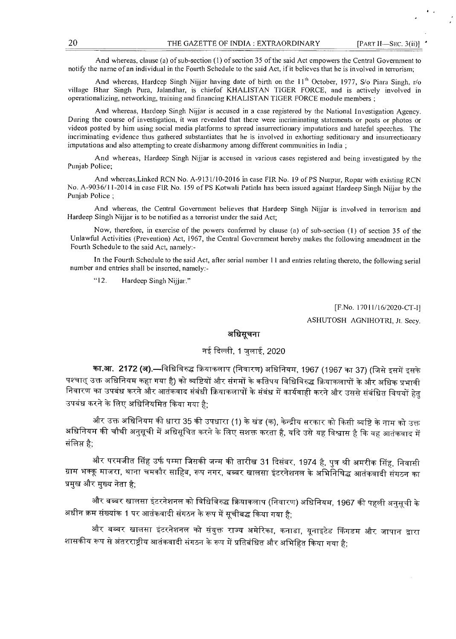And whereas, clause (a) of sub-section (1) of section 35 of the said Act empowers the Central Government to notify the name of an individual in the Fourth Schedule to the said Act, if it believes that he is involved in terrorism;

And whereas, Hardeep Singh Nijjar having date of birth on the  $11<sup>th</sup>$  October, 1977, S/o Piara Singh, r/o village Bhar Singh Pura, Jalandhar, is chiefof KHALISTAN TIGER FORCE, and is actively involved in operationalizing, networking, training and financing KHALISTAN TIGER FORCE module members ;

And whereas, Hardeep Singh Nijjar is accused in a case registered by the National Investigation Agency. During the course of investigation, it was revealed that there were incriminating statements or posts or photos or videos posted by him using social media platforms to spread insurrectionary imputations and hateful speeches. The incriminating evidence thus gathered substantiates that he is involved in exhorting seditionary and insurrectionary imputations and also attempting to create disharmony among different communities in India ;

And whereas, Hardeep Singh Nijjar is accused in various cases registered and being investigated by the Punjab Police;

And whereas,Linked RCN No. A-9131/10-2016 in case FIR No. 19 of PS Nurpur, Ropar with existing RCN No. A-9036/11-2014 in case FIR No. 159 of PS Kotwali Patiala has been issued against Hardeep Singh Nijjar by the Punjab Police ;

And whereas, the Central Government believes that Hardeep Singh Nijjar is involved in terrorism and Hardeep Singh Nijjar is to be notified as a terrorist under the said Act;

Now, therefore, in exercise of the powers conferred by clause (a) of sub-section (1) of section 35 of the Unlawful Activities (Prevention) Act, 1967, the Central Government hereby makes the following amendment in the Fourth Schedule to the said Act, namely:-

In the Fourth Schedule to the said Act, after serial number 11 and entries relating thereto, the following serial number and entries shall be inserted, namely:-

"12. Hardeep Singh Nijjar."

[F.No. 17011/16/2020-CT-I]

ASHUTOSH AGNIHOTRI, Jt. Secy.

# अधिसचना

# नई दिल्ली, 1 जुलाई, 2020

**का.आ. 2172 (अ).—**विधिविरुद्ध क्रियाकलाप (निवारण) अधिनियम, 1967 (1967 का 37) (जिसे इसमें इसके पश्चात् उक्त अधिनियम कहा गया है) को व्यष्टियों और संगमों के कतिपय विधिविरुद्ध क्रियाकलापों के और अधिक प्रभावी निवारण का उपबंध करने और आतंकवाद संबंधी क्रियाकलापों के संबंध में कार्यवाही करने और उससे संबंधित विषयों हेत् उपबंध करने के लिए अधिनियमित किया गया है:

और उक्त अधिनियम की धारा 35 की उपधारा (1) के खंड (क), केन्द्रीय सरकार को किसी व्यष्टि के नाम को उक्त अधिनियम की चौथी अनुसूची में अधिसूचित करने के लिए सशक्त करता है, यदि उसे यह विश्वास है कि वह आतंकवाद में<br>संलिप्त है:

और परमजीत सिंह उर्फ पम्मा जिसकी जन्म की तारीख 31 दिसंबर, 1974 है, पुत्र श्री अमरीक सिंह, निवासी ग्राम भक्कू माजरा, थाना चमकौर साहिब, रूप नगर, बब्बर खालसा इंटरनेशनल के अभिनिषिद्ध आतंकवादी संगठन का प्रमुख और मुख्य नेता है;

और बब्बर खालसा इंटरनेशनल को विधिविरुद्ध क्रियाकलाप (निवारण) अधिनियम, 1967 की पहली अनुसूची के अधीन क्रम संख्यांक 1 पर आतंकवादी संगठन के रूप में सूचीबद्ध किया गया है:

और बब्बर खालसा इंटरनेशनल को संयुक्त राज्य अमेरिका, कनाडा, यूनाइटेड किंगडम और जापान द्वारा शासकीय रूप से अंतरराष्टीय आतंकवादी संगठन के रूप में प्रतिबंधित और अभिहित किया गया है: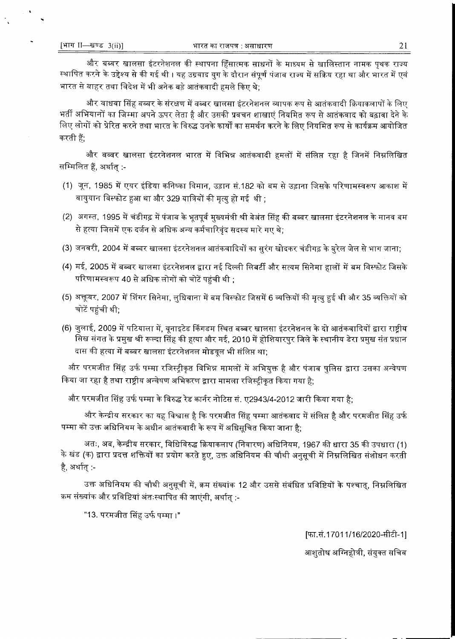और बब्बर खालसा इंटरनेशनल की स्थापना हिंसात्मक साधनों के माध्यम से खालिस्तान नामक पृथक राज्य स्थापित करने के उद्देश्य से की गई थी । यह उग्रवाद युग के दौरान संपूर्ण पंजाब राज्य में सक्रिय रहा था और भारत में एवं भारत से बाहर तथा विदेश में भी अनेक बड़े आतंकवादी हमले किए थे:

और वाधवा सिंह बब्बर के संरक्षण में वब्बर खालसा इंटरनेशनल व्यापक रूप से आतंकवादी क्रियाकलापों के लिए भर्ती अभियानों का जिम्मा अपने ऊपर लेता है और उसकी प्रवचन शाखाएं नियमित रूप से आतंकवाद को बढ़ावा देने के लिए लोगों को प्रेरित करने तथा भारत के विरुद्ध उनके कार्यों का समर्थन करने के लिए नियमित रूप से कार्यक्रम आयोजित करती हैं:

और वव्वर खालसा इंटरनेशनल भारत में विभिन्न आतंकवादी हमलों में संलिप्त रहा है जिनमें निम्नलिखित सम्मिलित हैं, अर्थात् :-

- (1) जून, 1985 में एयर इंडिया कनिष्का विमान, उड़ान सं.182 को बम से उड़ाना जिसके परिणामस्वरूप आकाश में वायुयान विस्फोट हुआ था और 329 यात्रियों की मृत्यु हो गई थी ;
- (2) अगस्त, 1995 में चंडीगढ़ में पंजाब के भूतपूर्व मुख्यमंत्री श्री बेअंत सिंह की बब्बर खालसा इंटरनेशनल के मानव बम से हत्या जिसमें एक दर्जन से अधिक अन्य कर्मचारिवंद सदस्य मारे गए थे:
- (3) जनवरी, 2004 में बब्बर खालसा इंटरनेशनल आतंकवादियों का सुरंग खोदकर चंडीगढ़ के बुरेल जेल से भाग जाना;
- (4) मई, 2005 में बब्बर खालसा इंटरनेशनल द्वारा नई दिल्ली लिबर्टी और सत्यम सिनेमा हालों में बम विस्फोट जिसके परिणामस्वरूप 40 से अधिक लोगों को चोटें पहुंची थी ;
- (5) अक्तूबर, 2007 में शिंगर सिनेमा, लुधियाना में बम विस्फोट जिसमें 6 व्यक्तियों की मृत्यु हुई थी और 35 व्यक्तियों को चोटें पहुंची थी;
- (6) जुलाई, 2009 में पटियाला में, यूनाइटेड किंगडम स्थित बब्बर खालसा इंटरनेशनल के दो आतंकवादियों द्वारा राष्ट्रीय सिख संगत के प्रमुख श्री रूल्दा सिंह की हत्या और मई, 2010 में होशियारपुर जिले के स्थानीय डेरा प्रमुख संत प्रधान दास की हत्या में बब्बर खालसा इंटरनेशनल मोडयूल भी संलिप्त था;

और परमजीत सिंह उर्फ पम्मा रजिस्ट्रीकृत विभिन्न मामलों में अभियुक्त है और पंजाब पुलिस द्वारा उसका अन्वेषण किया जा रहा है तथा राष्ट्रीय अन्वेषण अभिकरण द्वारा मामला रजिस्टीकृत किया गया है;

और परमजीत सिंह उर्फ पम्मा के विरुद्ध रेड कार्नर नोटिस सं. ए2943/4-2012 जारी किया गया है;

और केन्द्रीय सरकार का यह विश्वास है कि परमजीत सिंह पम्मा आतंकवाद में संलिप्त है और परमजीत सिंह उर्फ पम्मा को उक्त अधिनियम के अधीन आतंकवादी के रूप में अधिसूचित किया जाना है;

अतः, अब, केन्द्रीय सरकार, विधिविरुद्ध क्रियाकलाप (निवारण) अधिनियम, 1967 की धारा 35 की उपधारा (1) के खंड (क) द्वारा प्रदत्त शक्तियों का प्रयोग करते हुए, उक्त अधिनियम की चौथी अनुसूची में निम्नलिखित संशोधन करती है, अर्थात् :-

उक्त अधिनियम की चौथी अनुसूची में, क्रम संख्यांक 12 और उससे संबंधित प्रविष्टियों के पश्चात्, निम्नलिखित क्रम संख्यांक और प्रविष्टियां अंतःस्थापित की जाएंगी, अर्थात् :-

"13. परमजीत सिंह उर्फ पम्मा ।"

[फा.सं.17011/16/2020-सीटी-1]

आशुतोष अग्निहोत्री, संयुक्त सचिव